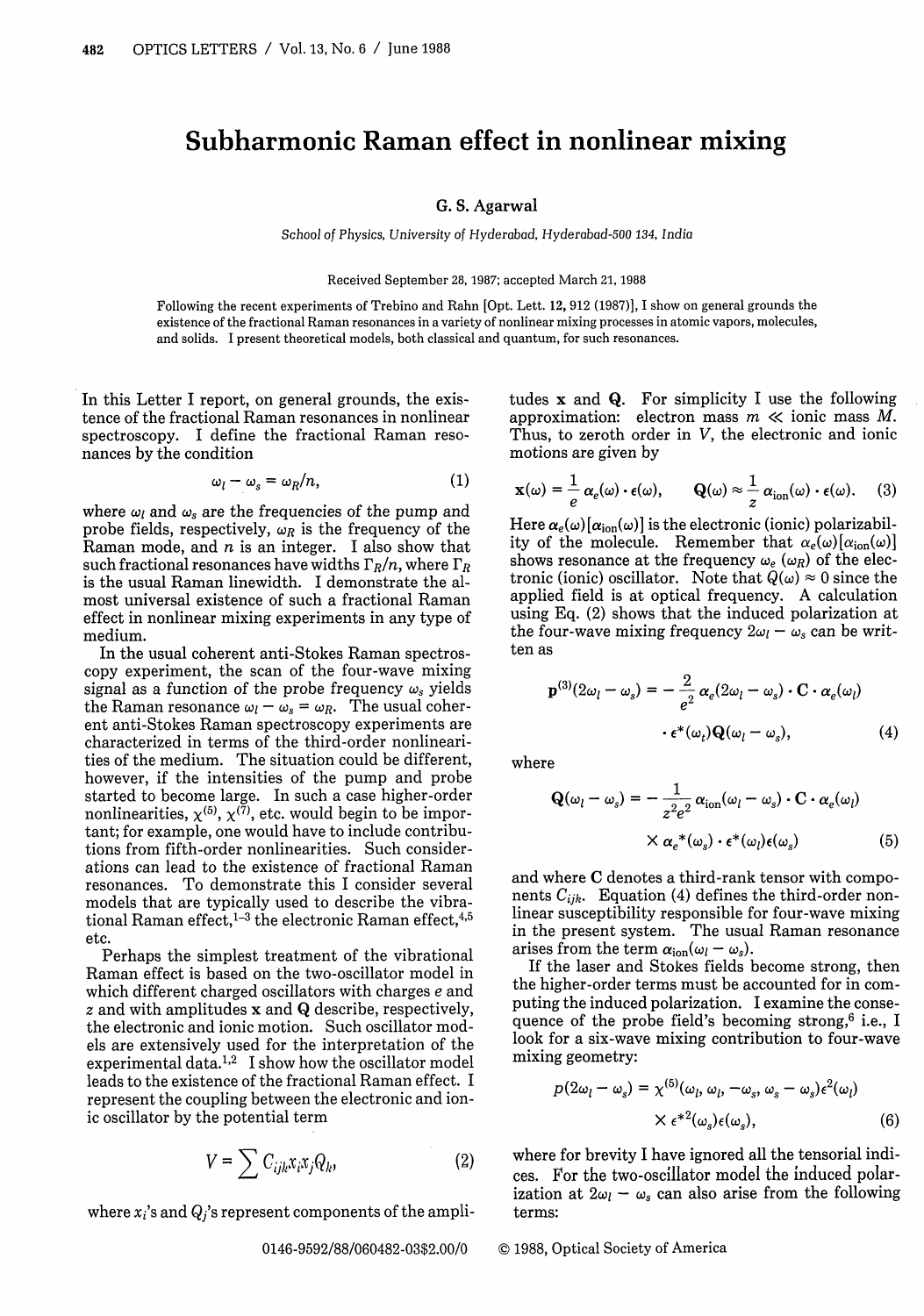## **Subharmonic Raman effect in nonlinear mixing**

## G. S. Agarwal

School of Physics, University of Hyderabad, Hyderabad-500 *134,* India

Received September 28, 1987; accepted March 21, 1988

Following the recent experiments of Trebino and Rahn [Opt. Lett. 12, 912 (1987)], I show on general grounds the existence of the fractional Raman resonances in a variety of nonlinear mixing processes in atomic vapors, molecules, and solids. I present theoretical models, both classical and quantum, for such resonances.

In this Letter I report, on general grounds, the existence of the fractional Raman resonances in nonlinear spectroscopy. I define the fractional Raman resonances by the condition

$$
\omega_l - \omega_s = \omega_R / n, \qquad (1)
$$

where  $\omega_l$  and  $\omega_s$  are the frequencies of the pump and probe fields, respectively,  $\omega_R$  is the frequency of the Raman mode, and  $n$  is an integer. I also show that such fractional resonances have widths  $\Gamma_R/n$ , where  $\Gamma_R$ is the usual Raman linewidth. I demonstrate the almost universal existence of such a fractional Raman effect in nonlinear mixing experiments in any type of medium.

In the usual coherent anti-Stokes Raman spectroscopy experiment, the scan of the four-wave mixing signal as a function of the probe frequency  $\omega_s$  yields the Raman resonance  $\omega_l - \omega_s = \omega_R$ . The usual coherent anti-Stokes Raman spectroscopy experiments are characterized in terms of the third-order nonlinearities of the medium. The situation could be different, however, if the intensities of the pump and probe started to become large. In such a case higher-order nonlinearities,  $\chi^{(5)}$ ,  $\chi^{(7)}$ , etc. would begin to be important; for example, one would have to include contributions from fifth-order nonlinearities. Such considerations can lead to the existence of fractional Raman resonances. To demonstrate this I consider several models that are typically used to describe the vibrational Raman effect, $1^{-3}$  the electronic Raman effect, $4.5$ etc.

Perhaps the simplest treatment of the vibrational Raman effect is based on the two-oscillator model in which different charged oscillators with charges e and z and with amplitudes x and **Q** describe, respectively, the electronic and ionic motion. Such oscillator models are extensively used for the interpretation of the experimental data.<sup>1,2</sup> I show how the oscillator mode leads to the existence of the fractional Raman effect. I represent the coupling between the electronic and ionic oscillator by the potential term

$$
V = \sum C_{ijk} x_i x_j Q_k, \qquad (2)
$$

where  $x_i$ 's and  $Q_i$ 's represent components of the ampli-

tudes x and **Q.** For simplicity I use the following approximation: electron mass  $m \ll 1$ ionic mass  $M$ . Thus, to zeroth order in V, the electronic and ionic motions are given by

$$
\mathbf{x}(\omega) = \frac{1}{e} \alpha_e(\omega) \cdot \epsilon(\omega), \qquad \mathbf{Q}(\omega) \approx \frac{1}{z} \alpha_{\text{ion}}(\omega) \cdot \epsilon(\omega). \tag{3}
$$

Here  $\alpha_e(\omega) [\alpha_{\text{ion}}(\omega)]$  is the electronic (ionic) polarizability of the molecule. Remember that  $\alpha_e(\omega) [\alpha_{\text{ion}}(\omega)]$ shows resonance at the frequency  $\omega_e$  ( $\omega_R$ ) of the electronic (ionic) oscillator. Note that  $Q(\omega) \approx 0$  since the applied field is at optical frequency. A calculation using Eq. (2) shows that the induced polarization at the four-wave mixing frequency  $2\omega_l - \omega_s$  can be written as

$$
\mathbf{p}^{(3)}(2\omega_l - \omega_s) = -\frac{2}{e^2} \alpha_e (2\omega_l - \omega_s) \cdot \mathbf{C} \cdot \alpha_e (\omega_l)
$$

$$
\cdot \epsilon^* (\omega_t) \mathbf{Q}(\omega_l - \omega_s), \qquad (4)
$$

where

$$
\mathbf{Q}(\omega_l - \omega_s) = -\frac{1}{z^2 e^2} \alpha_{\text{ion}}(\omega_l - \omega_s) \cdot \mathbf{C} \cdot \alpha_e(\omega_l)
$$

$$
\times \alpha_e^*(\omega_s) \cdot \epsilon^*(\omega_l) \epsilon(\omega_s) \tag{5}
$$

and where C denotes a third-rank tensor with components *Cijk.* Equation (4) defines the third-order nonlinear susceptibility responsible for four-wave mixing in the present system. The usual Raman resonance arises from the term  $\alpha_{\text{ion}}(\omega_l - \omega_s)$ .

If the laser and Stokes fields become strong, then the higher-order terms must be accounted for in computing the induced polarization. I examine the consequence of the probe field's becoming strong,<sup>6</sup> i.e., I look for a six-wave mixing contribution to four-wave mixing geometry:

$$
p(2\omega_l - \omega_s) = \chi^{(5)}(\omega_l, \omega_l, -\omega_s, \omega_s - \omega_s) \epsilon^2(\omega_l)
$$
  
 
$$
\times \epsilon^{*2}(\omega_s) \epsilon(\omega_s), \qquad (6)
$$

where for brevity I have ignored all the tensorial indices. For the two-oscillator model the induced polarization at  $2\omega_l - \omega_s$  can also arise from the following terms:

## 0146-9592/88/060482-03\$2.00/0 © 1988, Optical Society of America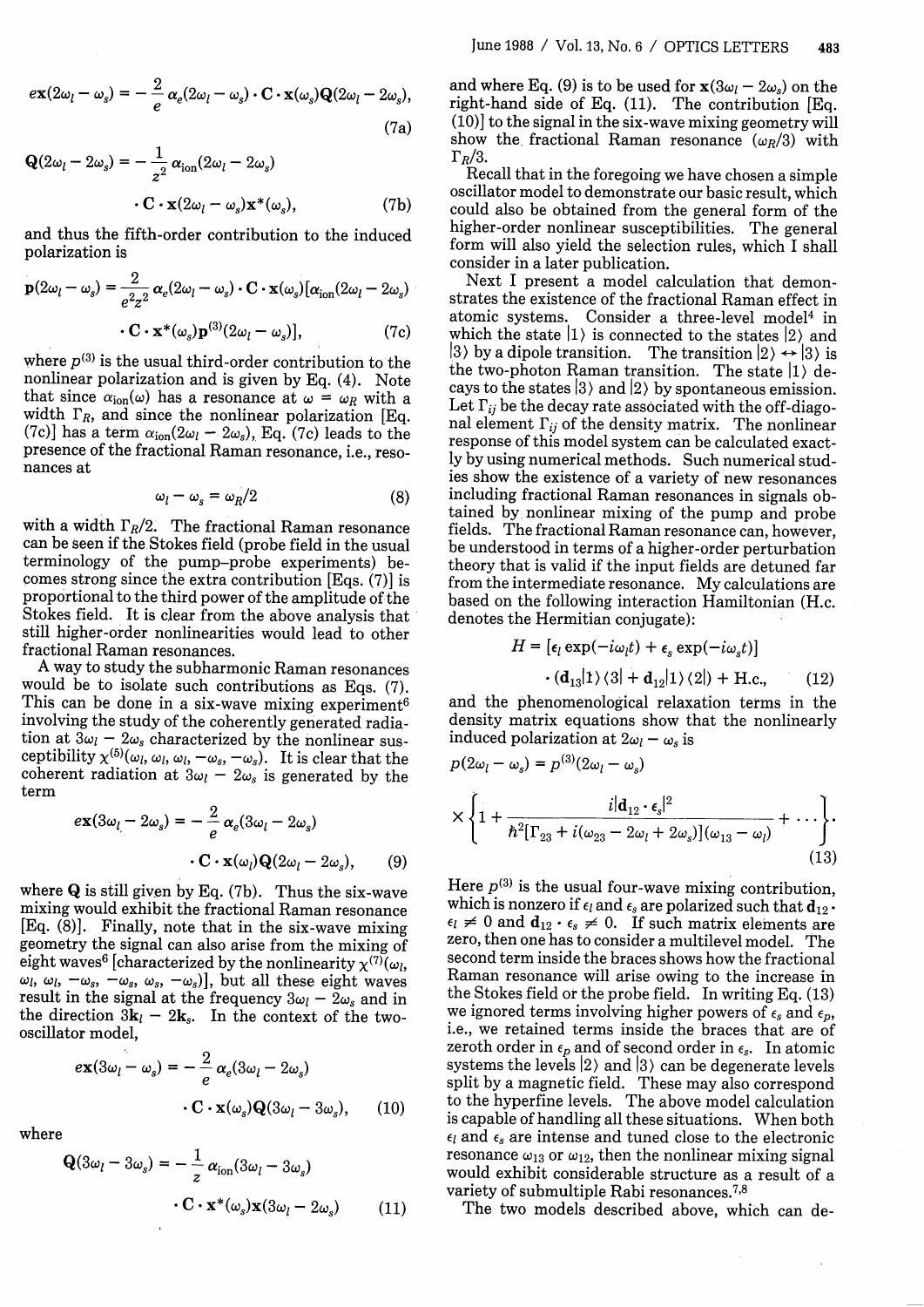$$
e\mathbf{x}(2\omega_l - \omega_s) = -\frac{2}{e}\alpha_e(2\omega_l - \omega_s) \cdot \mathbf{C} \cdot \mathbf{x}(\omega_s) \mathbf{Q}(2\omega_l - 2\omega_s),
$$
\n(7a)

$$
\mathbf{Q}(2\omega_l - 2\omega_s) = -\frac{1}{z^2} \alpha_{\text{ion}} (2\omega_l - 2\omega_s)
$$

$$
\cdot \mathbf{C} \cdot \mathbf{x} (2\omega_l - \omega_s) \mathbf{x}^*(\omega_s), \tag{7b}
$$

and thus the fifth-order contribution to the induced polarization is

$$
\mathbf{p}(2\omega_l - \omega_s) = \frac{2}{e^2 z^2} \alpha_e (2\omega_l - \omega_s) \cdot \mathbf{C} \cdot \mathbf{x}(\omega_s) [\alpha_{\text{ion}} (2\omega_l - 2\omega_s) \cdot \mathbf{C} \cdot \mathbf{x}^*(\omega_s) \mathbf{p}^{(3)} (2\omega_l - \omega_s)], \tag{7c}
$$

where  $p^{(3)}$  is the usual third-order contribution to the nonlinear polarization and is given by Eq. (4). Note that since  $\alpha_{\text{ion}}(\omega)$  has a resonance at  $\omega = \omega_R$  with a width  $\Gamma_R$ , and since the nonlinear polarization [Eq. (7c)] has a term  $\alpha_{\text{ion}}(2\omega_l - 2\omega_s)$ , Eq. (7c) leads to the presence of the fractional Raman resonance, i.e., resonances at

$$
\omega_l - \omega_s = \omega_R/2 \tag{8}
$$

with a width  $\Gamma_R/2$ . The fractional Raman resonance can be seen if the Stokes field (probe field in the usual terminology of the pump-probe experiments) becomes strong since the extra contribution [Eqs. (7)] is proportional to the third power of the amplitude of the Stokes field. It is clear from the above analysis that still higher-order nonlinearities would lead to other fractional Raman resonances.

A way to study the subharmonic Raman resonances would be to isolate such contributions as Eqs. (7). This can be done in a six-wave mixing experiment<sup>6</sup> involving the study of the coherently generated radiation at  $3\omega_l - 2\omega_s$  characterized by the nonlinear susceptibility  $\chi^{(5)}(\omega_l, \omega_l, \omega_l, -\omega_s, -\omega_s)$ . It is clear that the coherent radiation at  $3\omega_l - 2\omega_s$  is generated by the term

$$
e\mathbf{x}(3\omega_l - 2\omega_s) = -\frac{2}{e}\alpha_e(3\omega_l - 2\omega_s)
$$

$$
\cdot \mathbf{C} \cdot \mathbf{x}(\omega_l)\mathbf{Q}(2\omega_l - 2\omega_s), \qquad (9)
$$

where **Q** is still given by Eq. (7b). Thus the six-wave mixing would exhibit the fractional Raman resonance [Eq. (8)]. Finally, note that in the six-wave mixing geometry the signal can also arise from the mixing of eight waves<sup>6</sup> [characterized by the nonlinearity  $\chi^{(7)}(\omega_l)$ ,  $\omega_l$ ,  $\omega_l$ ,  $-\omega_s$ ,  $-\omega_s$ ,  $\omega_s$ ,  $-\omega_s$ )], but all these eight waves result in the signal at the frequency  $3\omega_l - 2\omega_s$  and in the direction  $3\mathbf{k}_l - 2\mathbf{k}_s$ . In the context of the twooscillator model,

$$
e\mathbf{x}(3\omega_l - \omega_s) = -\frac{2}{e}\alpha_e(3\omega_l - 2\omega_s)
$$

$$
\cdot \mathbf{C} \cdot \mathbf{x}(\omega_s) \mathbf{Q}(3\omega_l - 3\omega_s), \qquad (10)
$$

where

$$
\mathbf{Q}(3\omega_l - 3\omega_s) = -\frac{1}{z}\alpha_{\text{ion}}(3\omega_l - 3\omega_s)
$$

$$
\cdot \mathbf{C} \cdot \mathbf{x}^*(\omega_s) \mathbf{x}(3\omega_l - 2\omega_s) \tag{11}
$$

and where Eq. (9) is to be used for  $\mathbf{x}(3\omega_l - 2\omega_s)$  on the right-hand side of Eq. (11). The contribution [Eq.  $r(10)$  to the signal in the six-wave mixing geometry will show the fractional Raman resonance  $(\omega_R/3)$  with  $\Gamma_R/3$ .<br>Recall that in the foregoing we have chosen a simple

oscillator model to demonstrate our basic result, which could also be obtained from the general form of the higher-order nonlinear susceptibilities. The general form will also yield the selection rules, which I shall consider in a later publication.

Next I present a model calculation that demonstrates the existence of the fractional Raman effect in atomic systems. Consider a three-level model4 in which the state  $|1\rangle$  is connected to the states  $|2\rangle$  and  $|3\rangle$  by a dipole transition. The transition  $|2\rangle \leftrightarrow |3\rangle$  is the two-photon Raman transition. The state  $|1\rangle$  decays to the states  $|3\rangle$  and  $|2\rangle$  by spontaneous emission.<br>Let  $\Gamma_{ij}$  be the decay rate associated with the off-diagonal element  $\Gamma_{ij}$  of the density matrix. The nonlinear response of this model system can be calculated exactly by using numerical methods. Such numerical studies show the existence of a variety of new resonances including fractional Raman resonances in signals obfields. The fractional Raman resonance can, however,<br>be understood in terms of a higher-order perturbation theory that is valid if the input fields are detuned far from the intermediate resonance. My calculations are based on the following interaction Hamiltonian (H.c. denotes the Hermitian conjugate):

$$
H = [\epsilon_l \exp(-i\omega_l t) + \epsilon_s \exp(-i\omega_s t)]
$$

$$
\cdot (\mathbf{d}_{13}|1\rangle\langle 3| + \mathbf{d}_{12}|1\rangle\langle 2|) + \text{H.c.}, \qquad (12)
$$

and the phenomenological relaxation terms in the density matrix equations show that the nonlinearly induced polarization at  $2\omega_l - \omega_s$  is

$$
p(2\omega_l - \omega_s) = p^{(3)}(2\omega_l - \omega_s)
$$
  
 
$$
\times \left\{ 1 + \frac{i|\mathbf{d}_{12} \cdot \boldsymbol{\epsilon}_s|^2}{\hbar^2 [\Gamma_{23} + i(\omega_{23} - 2\omega_l + 2\omega_s)](\omega_{13} - \omega_l)} + \cdots \right\}.
$$
 (13)

Here  $p^{(3)}$  is the usual four-wave mixing contribution, which is nonzero if  $\epsilon_l$  and  $\epsilon_s$  are polarized such that  $d_{12}$ .  $\epsilon_l \neq 0$  and  $\mathbf{d}_{12} \cdot \epsilon_s \neq 0$ . If such matrix elements are zero, then one has to consider a multilevel model. The second term inside the braces shows how the fractional Raman resonance will arise owing to the increase in the Stokes field or the probe field. In writing Eq. (13) we ignored terms involving higher powers of  $\epsilon_s$  and  $\epsilon_p$ , i.e., we retained terms inside the braces that are of zeroth order in  $\epsilon_p$  and of second order in  $\epsilon_s$ . In atomic systems the levels  $|2\rangle$  and  $|3\rangle$  can be degenerate levels split by a magnetic field. These may also correspond to the hyperfine levels. The above model calculation is capable of handling all these situations. When both  $\epsilon_l$  and  $\epsilon_s$  are intense and tuned close to the electronic resonance  $\omega_{13}$  or  $\omega_{12}$ , then the nonlinear mixing signal would exhibit considerable structure as a result of a variety of submultiple Rabi resonances.<sup>7,8</sup>

The two models described above, which can de-